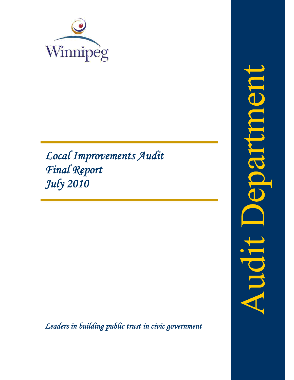

# *Local Improvements Audit Final Report July 2010*

*Leaders in building public trust in civic government*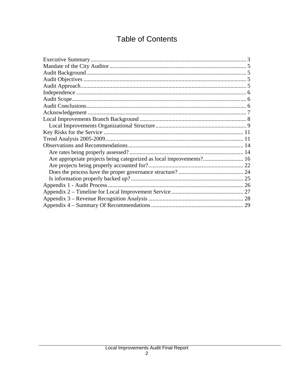# **Table of Contents**

| Are appropriate projects being categorized as local improvements? 16 |  |
|----------------------------------------------------------------------|--|
|                                                                      |  |
|                                                                      |  |
|                                                                      |  |
|                                                                      |  |
|                                                                      |  |
|                                                                      |  |
|                                                                      |  |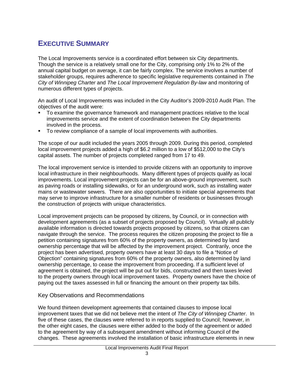## **EXECUTIVE SUMMARY**

The Local Improvements service is a coordinated effort between six City departments. Though the service is a relatively small one for the City, comprising only 1% to 2% of the annual capital budget on average, it can be fairly complex. The service involves a number of stakeholder groups, requires adherence to specific legislative requirements contained in *The City of Winnipeg Charter* and *The Local Improvement Regulation By-law* and monitoring of numerous different types of projects.

An audit of Local Improvements was included in the City Auditor's 2009-2010 Audit Plan. The objectives of the audit were:

- To examine the governance framework and management practices relative to the local improvements service and the extent of coordination between the City departments involved in the process.
- To review compliance of a sample of local improvements with authorities.

The scope of our audit included the years 2005 through 2009. During this period, completed local improvement projects added a high of \$6.2 million to a low of \$512,000 to the City's capital assets. The number of projects completed ranged from 17 to 49.

The local improvement service is intended to provide citizens with an opportunity to improve local infrastructure in their neighbourhoods. Many different types of projects qualify as local improvements. Local improvement projects can be for an above-ground improvement, such as paving roads or installing sidewalks, or for an underground work, such as installing water mains or wastewater sewers. There are also opportunities to initiate special agreements that may serve to improve infrastructure for a smaller number of residents or businesses through the construction of projects with unique characteristics.

Local improvement projects can be proposed by citizens, by Council, or in connection with development agreements (as a subset of projects proposed by Council). Virtually all publicly available information is directed towards projects proposed by citizens, so that citizens can navigate through the service. The process requires the citizen proposing the project to file a petition containing signatures from 60% of the property owners, as determined by land ownership percentage that will be affected by the improvement project. Contrarily, once the project has been advertised, property owners have at least 30 days to file a "Notice of Objection" containing signatures from 60% of the property owners, also determined by land ownership percentage, to cease the improvement from proceeding. If a sufficient level of agreement is obtained, the project will be put out for bids, constructed and then taxes levied to the property owners through local improvement taxes. Property owners have the choice of paying out the taxes assessed in full or financing the amount on their property tax bills.

#### Key Observations and Recommendations

We found thirteen development agreements that contained clauses to impose local improvement taxes that we did not believe met the intent of *The City of Winnipeg Charter*. In five of these cases, the clauses were referred to in reports supplied to Council; however, in the other eight cases, the clauses were either added to the body of the agreement or added to the agreement by way of a subsequent amendment without informing Council of the changes. These agreements involved the installation of basic infrastructure elements in new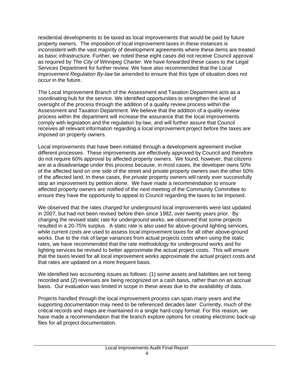residential developments to be taxed as local improvements that would be paid by future property owners. The imposition of local improvement taxes in these instances is inconsistent with the vast majority of development agreements where these items are treated as basic infrastructure. Further, we noted these eight cases did not receive Council approval as required by *The City of Winnipeg Charter*. We have forwarded these cases to the Legal Services Department for further review. We have also recommended that the *Local Improvement Regulation By-law* be amended to ensure that this type of situation does not occur in the future.

The Local Improvement Branch of the Assessment and Taxation Department acts as a coordinating hub for the service. We identified opportunities to strengthen the level of oversight of the process through the addition of a quality review process within the Assessment and Taxation Department. We believe that the addition of a quality review process within the department will increase the assurance that the local improvements comply with legislation and the regulation by-law, and will further assure that Council receives all relevant information regarding a local improvement project before the taxes are imposed on property owners.

Local improvements that have been initiated through a development agreement involve different processes. These improvements are effectively approved by Council and therefore do not require 60% approval by affected property owners. We found, however, that citizens are at a disadvantage under this process because, in most cases, the developer owns 50% of the affected land on one side of the street and private property owners own the other 50% of the affected land. In these cases, the private property owners will rarely ever successfully stop an improvement by petition alone. We have made a recommendation to ensure affected property owners are notified of the next meeting of the Community Committee to ensure they have the opportunity to appeal to Council regarding the taxes to be imposed.

We observed that the rates charged for underground local improvements were last updated in 2007, but had not been revised before then since 1982, over twenty years prior. By charging the revised static rate for underground works, we observed that some projects resulted in a 20-75% surplus. A static rate is also used for above-ground lighting services, while current costs are used to assess local improvement taxes for all other above-ground works. Due to the risk of large variances from actual projects costs when using the static rates, we have recommended that the rate methodology for underground works and for lighting services be revised to better approximate the actual project costs. This will ensure that the taxes levied for all local improvement works approximate the actual project costs and that rates are updated on a more frequent basis.

We identified two accounting issues as follows: (1) some assets and liabilities are not being recorded and (2) revenues are being recognized on a cash basis, rather than on an accrual basis. Our evaluation was limited in scope in these areas due to the availability of data.

Projects handled through the local improvement process can span many years and the supporting documentation may need to be referenced decades later. Currently, much of the critical records and maps are maintained in a single hard-copy format. For this reason, we have made a recommendation that the branch explore options for creating electronic back-up files for all project documentation.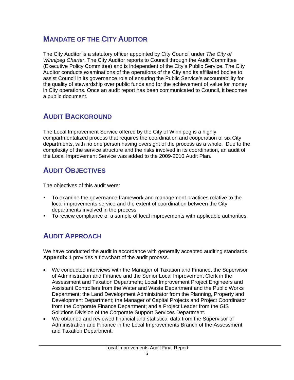### **MANDATE OF THE CITY AUDITOR**

The City Auditor is a statutory officer appointed by City Council under *The City of Winnipeg Charter*. The City Auditor reports to Council through the Audit Committee (Executive Policy Committee) and is independent of the City's Public Service. The City Auditor conducts examinations of the operations of the City and its affiliated bodies to assist Council in its governance role of ensuring the Public Service's accountability for the quality of stewardship over public funds and for the achievement of value for money in City operations. Once an audit report has been communicated to Council, it becomes a public document.

# **AUDIT BACKGROUND**

The Local Improvement Service offered by the City of Winnipeg is a highly compartmentalized process that requires the coordination and cooperation of six City departments, with no one person having oversight of the process as a whole. Due to the complexity of the service structure and the risks involved in its coordination, an audit of the Local Improvement Service was added to the 2009-2010 Audit Plan.

## **AUDIT OBJECTIVES**

The objectives of this audit were:

- To examine the governance framework and management practices relative to the local improvements service and the extent of coordination between the City departments involved in the process.
- **To review compliance of a sample of local improvements with applicable authorities.**

# **AUDIT APPROACH**

We have conducted the audit in accordance with generally accepted auditing standards. **Appendix 1** provides a flowchart of the audit process.

- We conducted interviews with the Manager of Taxation and Finance, the Supervisor of Administration and Finance and the Senior Local Improvement Clerk in the Assessment and Taxation Department; Local Improvement Project Engineers and Assistant Controllers from the Water and Waste Department and the Public Works Department; the Land Development Administrator from the Planning, Property and Development Department; the Manager of Capital Projects and Project Coordinator from the Corporate Finance Department; and a Project Leader from the GIS Solutions Division of the Corporate Support Services Department.
- We obtained and reviewed financial and statistical data from the Supervisor of Administration and Finance in the Local Improvements Branch of the Assessment and Taxation Department.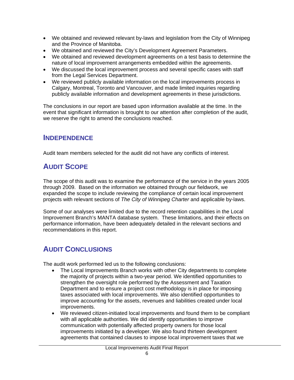- We obtained and reviewed relevant by-laws and legislation from the City of Winnipeg and the Province of Manitoba.
- We obtained and reviewed the City's Development Agreement Parameters.
- We obtained and reviewed development agreements on a test basis to determine the nature of local improvement arrangements embedded within the agreements.
- We discussed the local improvement process and several specific cases with staff from the Legal Services Department.
- We reviewed publicly available information on the local improvements process in Calgary, Montreal, Toronto and Vancouver, and made limited inquiries regarding publicly available information and development agreements in these jurisdictions.

The conclusions in our report are based upon information available at the time. In the event that significant information is brought to our attention after completion of the audit, we reserve the right to amend the conclusions reached.

### **INDEPENDENCE**

Audit team members selected for the audit did not have any conflicts of interest.

# **AUDIT SCOPE**

The scope of this audit was to examine the performance of the service in the years 2005 through 2009. Based on the information we obtained through our fieldwork, we expanded the scope to include reviewing the compliance of certain local improvement projects with relevant sections of *The City of Winnipeg Charter* and applicable by-laws.

Some of our analyses were limited due to the record retention capabilities in the Local Improvement Branch's MANTA database system. These limitations, and their effects on performance information, have been adequately detailed in the relevant sections and recommendations in this report.

# **AUDIT CONCLUSIONS**

The audit work performed led us to the following conclusions:

- The Local Improvements Branch works with other City departments to complete the majority of projects within a two-year period. We identified opportunities to strengthen the oversight role performed by the Assessment and Taxation Department and to ensure a project cost methodology is in place for imposing taxes associated with local improvements. We also identified opportunities to improve accounting for the assets, revenues and liabilities created under local improvements.
- We reviewed citizen-initiated local improvements and found them to be compliant with all applicable authorities. We did identify opportunities to improve communication with potentially affected property owners for those local improvements initiated by a developer. We also found thirteen development agreements that contained clauses to impose local improvement taxes that we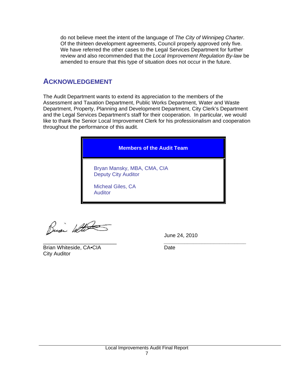do not believe meet the intent of the language of *The City of Winnipeg Charter*. Of the thirteen development agreements, Council properly approved only five. We have referred the other cases to the Legal Services Department for further review and also recommended that the *Local Improvement Regulation By-law* be amended to ensure that this type of situation does not occur in the future.

### **ACKNOWLEDGEMENT**

The Audit Department wants to extend its appreciation to the members of the Assessment and Taxation Department, Public Works Department, Water and Waste Department, Property, Planning and Development Department, City Clerk's Department and the Legal Services Department's staff for their cooperation. In particular, we would like to thank the Senior Local Improvement Clerk for his professionalism and cooperation throughout the performance of this audit.



Busi With

June 24, 2010

\_\_\_\_\_\_\_\_\_\_\_\_\_\_\_\_\_\_\_\_\_\_\_\_\_ *\_\_\_\_\_\_\_\_\_\_\_\_\_\_\_\_\_\_\_\_\_\_\_\_\_\_\_\_* Brian Whiteside, CA•CIA Date City Auditor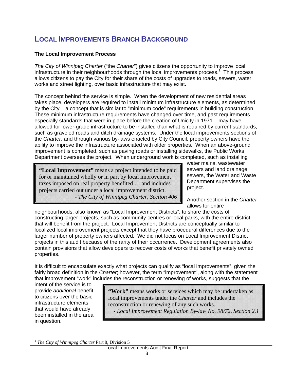### **LOCAL IMPROVEMENTS BRANCH BACKGROUND**

#### **The Local Improvement Process**

*The City of Winnipeg Charter* ("the *Charter*") gives citizens the opportunity to improve local infrastructure in their neighbourhoods through the local improvements process.<sup>1</sup> This process allows citizens to pay the City for their share of the costs of upgrades to roads, sewers, water works and street lighting, over basic infrastructure that may exist.

The concept behind the service is simple. When the development of new residential areas takes place, developers are required to install minimum infrastructure elements, as determined by the City – a concept that is similar to "minimum code" requirements in building construction. These minimum infrastructure requirements have changed over time, and past requirements – especially standards that were in place before the creation of Unicity in 1971 – may have allowed for lower-grade infrastructure to be installed than what is required by current standards, such as graveled roads and ditch drainage systems. Under the local improvements sections of the *Charter*, and through various by-laws enacted by City Council, property owners have the ability to improve the infrastructure associated with older properties. When an above-ground improvement is completed, such as paving roads or installing sidewalks, the Public Works Department oversees the project. When underground work is completed, such as installing

**"Local Improvement"** means a project intended to be paid for or maintained wholly or in part by local improvement taxes imposed on real property benefited … and includes projects carried out under a local improvement district. - *The City of Winnipeg Charter, Section 406*  water mains, wastewater sewers and land drainage sewers, the Water and Waste Department supervises the project.

Another section in the *Charter* allows for entire

neighbourhoods, also known as "Local Improvement Districts", to share the costs of constructing larger projects, such as community centres or local parks, with the entire district that will benefit from the project. Local Improvement Districts are conceptually similar to localized local improvement projects except that they have procedural differences due to the larger number of property owners affected. We did not focus on Local Improvement District projects in this audit because of the rarity of their occurrence. Development agreements also contain provisions that allow developers to recover costs of works that benefit privately owned properties.

It is difficult to encapsulate exactly what projects can qualify as "local improvements", given the fairly broad definition in the *Charter*; however, the term "improvement", along with the statement that improvement "work" includes the reconstruction or renewing of works, suggests that the

intent of the service is to provide *additional* benefit to citizens over the basic infrastructure elements that would have already been installed in the area in question.

 $\overline{a}$ 

"Work" means works or services which may be undertaken as local improvements under the *Charter* and includes the reconstruction or renewing of any such works. - *Local Improvement Regulation By-law No. 98/72, Section 2.1* 

<sup>1</sup> *The City of Winnipeg Charter* Part 8, Division 5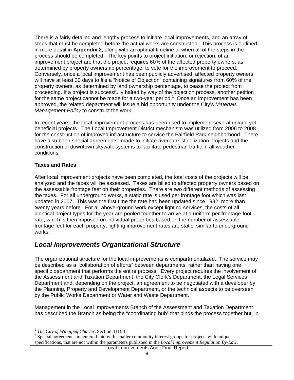There is a fairly detailed and lengthy process to initiate local improvements, and an array of steps that must be completed before the actual works are constructed. This process is outlined in more detail in **Appendix 2**, along with an optimal timeline of when all of the steps in the process should be completed. The key points to project initiation, or rejection, of an improvement project are that the project requires 60% of the affected property owners, as determined by property ownership percentage, to vote for the improvement to proceed. Conversely, once a local improvement has been publicly advertised, affected property owners will have at least 30 days to file a "Notice of Objection" containing signatures from 60% of the property owners, as determined by land ownership percentage, to cease the project from proceeding. If a project is successfully halted by way of the objection process, another petition for the same project cannot be made for a two-year period.<sup>1</sup> Once an improvement has been approved, the related department will issue a bid opportunity under the City's *Materials Management Policy* to construct the work.

In recent years, the local improvement process has been used to implement several unique yet beneficial projects. The Local Improvement District mechanism was utilized from 2006 to 2008 for the construction of improved infrastructure to service the Fairfield Park neighborhood. There have also been special agreements<sup>2</sup> made to initiate riverbank stabilization projects and the construction of downtown skywalk systems to facilitate pedestrian traffic in all weather conditions.

#### **Taxes and Rates**

After local improvement projects have been completed, the total costs of the projects will be analyzed and the taxes will be assessed. Taxes are billed to affected property owners based on the assessable frontage feet on their properties. There are two different methods of assessing the taxes. For all underground works, a static rate is used per frontage foot which was last updated in 2007. This was the first time the rate had been updated since 1982, more than twenty years before. For all above-ground work except lighting services, the costs of all identical project types for the year are pooled together to arrive at a uniform per-frontage-foot rate, which is then imposed on individual properties based on the number of assessable frontage feet for each property; lighting improvement rates are static, similar to underground works.

### *Local Improvements Organizational Structure*

The organizational structure for the local improvements is compartmentalized. The service may be described as a "collaboration of efforts" between departments, rather than having one specific department that performs the entire process. Every project requires the involvement of the Assessment and Taxation Department, the City Clerk's Department, the Legal Services Department and, depending on the project, an agreement to be negotiated with a developer by the Planning, Property and Development Department, or the technical aspects to be overseen by the Public Works Department or Water and Waste Department.

Management in the Local Improvements Branch of the Assessment and Taxation Department has described the Branch as being the "coordinating hub" that binds the process together but, in

 $\overline{a}$ <sup>1</sup> *The City of Winnipeg Charter*, Section 411(a)

 $2$  Special agreements are entered into with smaller community interest groups for projects with unique specifications, that are not within the parameters published in the *Local Improvement Regulation By-Law*.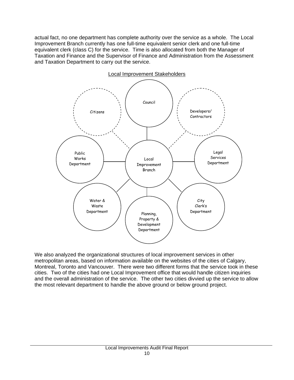actual fact, no one department has complete authority over the service as a whole. The Local Improvement Branch currently has one full-time equivalent senior clerk and one full-time equivalent clerk (class C) for the service. Time is also allocated from both the Manager of Taxation and Finance and the Supervisor of Finance and Administration from the Assessment and Taxation Department to carry out the service.



We also analyzed the organizational structures of local improvement services in other metropolitan areas, based on information available on the websites of the cities of Calgary, Montreal, Toronto and Vancouver. There were two different forms that the service took in these cities. Two of the cities had one Local Improvement office that would handle citizen inquiries and the overall administration of the service. The other two cities divvied up the service to allow the most relevant department to handle the above ground or below ground project.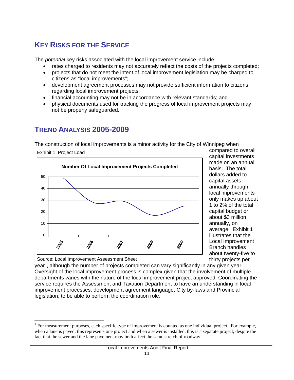# **KEY RISKS FOR THE SERVICE**

The *potential* key risks associated with the local improvement service include:

- rates charged to residents may not accurately reflect the costs of the projects completed;
- projects that do not meet the intent of local improvement legislation may be charged to citizens as "local improvements";
- development agreement processes may not provide sufficient information to citizens regarding local improvement projects;
- financial accounting may not be in accordance with relevant standards; and
- physical documents used for tracking the progress of local improvement projects may not be properly safeguarded.

# **TREND ANALYSIS 2005-2009**

Exhibit 1: Project Load

 $\overline{a}$ 

The construction of local improvements is a minor activity for the City of Winnipeg when



compared to overall capital investments made on an annual basis. The total dollars added to capital assets annually through local improvements only makes up about 1 to 2% of the total capital budget or about \$3 million annually, on average. Exhibit 1 illustrates that the Local Improvement Branch handles about twenty-five to thirty projects per

Source: Local Improvement Assessment Sheet

year<sup>1</sup>, although the number of projects completed can vary significantly in any given year. Oversight of the local improvement process is complex given that the involvement of multiple departments varies with the nature of the local improvement project approved. Coordinating the service requires the Assessment and Taxation Department to have an understanding in local improvement processes, development agreement language, City by-laws and Provincial legislation, to be able to perform the coordination role.

<sup>&</sup>lt;sup>1</sup> For measurement purposes, each specific type of improvement is counted as one individual project. For example, when a lane is paved, this represents one project and when a sewer is installed, this is a separate project, despite the fact that the sewer and the lane pavement may both affect the same stretch of roadway.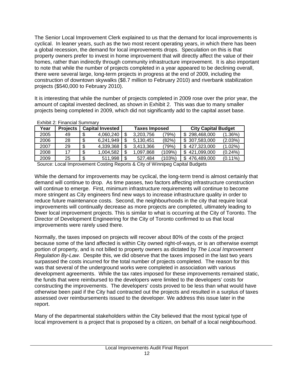The Senior Local Improvement Clerk explained to us that the demand for local improvements is cyclical. In leaner years, such as the two most recent operating years, in which there has been a global recession, the demand for local improvements drops. Speculation on this is that property owners prefer to invest in home improvement that will directly affect the value of their homes, rather than indirectly through community infrastructure improvement. It is also important to note that while the number of projects completed in a year appeared to be declining overall, there were several large, long-term projects in progress at the end of 2009, including the construction of downtown skywalks (\$8.7 million to February 2010) and riverbank stabilization projects (\$540,000 to February 2010).

It is interesting that while the number of projects completed in 2009 rose over the prior year, the amount of capital invested declined, as shown in Exhibit 2. This was due to many smaller projects being completed in 2009, which did not significantly add to the capital asset base.

| Year | <b>Projects</b> |    | <b>Capital Invested</b> | <b>Taxes Imposed</b> |           |           | <b>City Capital Budget</b> |            |  |
|------|-----------------|----|-------------------------|----------------------|-----------|-----------|----------------------------|------------|--|
| 2005 | 49              | J  | 4.060.240               | \$                   | 3,203,756 | '79%      | 298,468,000<br>\$.         | $(1.36\%)$ |  |
| 2006 | 28              | \$ | 6,241,949               | S                    | 5,130,451 | (82%)     | 307,583,000<br>\$          | (2.03%)    |  |
| 2007 | 29              | \$ | 4,339,368               | \$                   | 3,413,366 | (79%)     | 427,323,000<br>\$          | $(1.02\%)$ |  |
| 2008 |                 |    | 1,004,582               | \$                   | 1.097.868 | $(109\%)$ | 421,099,000                | $(0.24\%)$ |  |
| 2009 | 25              | \$ | 511,998                 | \$                   | 527.484   | (103%)    | 476,489,000                | $(0.11\%)$ |  |

Exhibit 2: Financial Summary

Source: Local Improvement Costing Reports & City of Winnipeg Capital Budgets

While the demand for improvements may be cyclical, the long-term trend is almost certainly that demand will continue to drop. As time passes, two factors affecting infrastructure construction will continue to emerge. First, minimum infrastructure requirements will continue to become more stringent as City engineers find new ways to increase infrastructure quality in order to reduce future maintenance costs. Second, the neighbourhoods in the city that require local improvements will continually decrease as more projects are completed, ultimately leading to fewer local improvement projects. This is similar to what is occurring at the City of Toronto. The Director of Development Engineering for the City of Toronto confirmed to us that local improvements were rarely used there.

Normally, the taxes imposed on projects will recover about 80% of the costs of the project because some of the land affected is within City owned right-of-ways, or is an otherwise exempt portion of property, and is not billed to property owners as dictated by *The Local Improvement Regulation By-Law*. Despite this, we did observe that the taxes imposed in the last two years surpassed the costs incurred for the total number of projects completed. The reason for this was that several of the underground works were completed in association with various development agreements. While the tax rates imposed for these improvements remained static, the funds that were reimbursed to the developers were limited to the developers' costs for constructing the improvements. The developers' costs proved to be less than what would have otherwise been paid if the City had contracted out the projects and resulted in a surplus of taxes assessed over reimbursements issued to the developer. We address this issue later in the report.

Many of the departmental stakeholders within the City believed that the most typical type of local improvement is a project that is proposed by a citizen, on behalf of a local neighbourhood.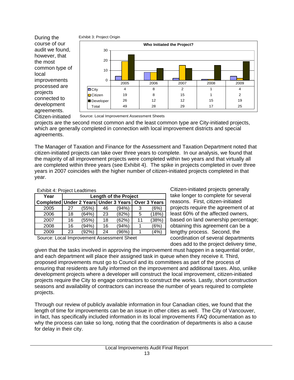

During the course of our audit we found, however, that the most common type of local improvements processed are projects connected to development agreements. Citizen-initiated



Source: Local Improvement Assessment Sheets

projects are the second most common and the least common type are City-initiated projects, which are generally completed in connection with local improvement districts and special agreements.

The Manager of Taxation and Finance for the Assessment and Taxation Department noted that citizen-initiated projects can take over three years to complete. In our analysis, we found that the majority of all improvement projects were completed within two years and that virtually all are completed within three years (see Exhibit 4). The spike in projects completed in over three years in 2007 coincides with the higher number of citizen-initiated projects completed in that year.

| <b>EXIMPLE 4. PROJECT LEADILITIES</b> |       |    |       |    |                                                      |  |
|---------------------------------------|-------|----|-------|----|------------------------------------------------------|--|
| <b>Length of the Project</b>          |       |    |       |    |                                                      |  |
|                                       |       |    |       |    |                                                      |  |
| 27                                    | (55%) | 46 | (94%) | 3  | (6%)                                                 |  |
| 18                                    | (64%) | 23 | (82%) | 5  | (18%)                                                |  |
| 16                                    | (55%) | 18 | (62%) | 11 | (38%)                                                |  |
| 16                                    | (94%) | 16 | (94%) |    | (6%)                                                 |  |
| 23                                    | (92%) | 24 | (96%) |    | (4%)                                                 |  |
|                                       |       |    |       |    | Completed Under 2 Years Under 3 Years   Over 3 Years |  |

Exhibit 4: Project Leadtimes

Source: Local Improvement Assessment Sheet

Citizen-initiated projects generally take longer to complete for several reasons. First, citizen-initiated projects require the agreement of at least 60% of the affected owners, based on land ownership percentage; obtaining this agreement can be a lengthy process. Second, the coordination of several departments does add to the project delivery time,

given that the tasks involved in approving the improvement must happen in a sequential order, and each department will place their assigned task in queue when they receive it. Third, proposed improvements must go to Council and its committees as part of the process of ensuring that residents are fully informed on the improvement and additional taxes. Also, unlike development projects where a developer will construct the local improvement, citizen-initiated projects require the City to engage contractors to construct the works. Lastly, short construction seasons and availability of contractors can increase the number of years required to complete projects.

Through our review of publicly available information in four Canadian cities, we found that the length of time for improvements can be an issue in other cities as well. The City of Vancouver, in fact, has specifically included information in its local improvements FAQ documentation as to why the process can take so long, noting that the coordination of departments is also a cause for delay in their city.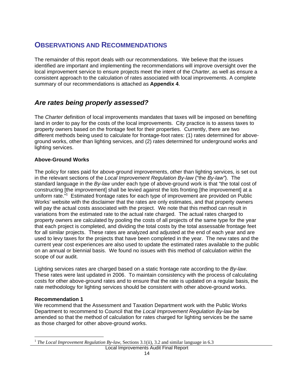### **OBSERVATIONS AND RECOMMENDATIONS**

The remainder of this report deals with our recommendations. We believe that the issues identified are important and implementing the recommendations will improve oversight over the local improvement service to ensure projects meet the intent of the *Charter*, as well as ensure a consistent approach to the calculation of rates associated with local improvements. A complete summary of our recommendations is attached as **Appendix 4**.

### *Are rates being properly assessed?*

The *Charter* definition of local improvements mandates that taxes will be imposed on benefiting land in order to pay for the costs of the local improvements. City practice is to assess taxes to property owners based on the frontage feet for their properties. Currently, there are two different methods being used to calculate for frontage-foot rates: (1) rates determined for aboveground works, other than lighting services, and (2) rates determined for underground works and lighting services.

#### **Above-Ground Works**

The policy for rates paid for above-ground improvements, other than lighting services, is set out in the relevant sections of the *Local Improvement Regulation By-law* ("the *By-law"*). The standard language in the *By-law* under each type of above-ground work is that "the total cost of constructing [the improvement] shall be levied against the lots fronting [the improvement] at a uniform rate.<sup>"1</sup> Estimated frontage rates for each type of improvement are provided on Public Works' website with the disclaimer that the rates are only estimates, and that property owners will pay the actual costs associated with the project. We note that this method can result in variations from the estimated rate to the actual rate charged. The actual rates charged to property owners are calculated by pooling the costs of all projects of the same type for the year that each project is completed, and dividing the total costs by the total assessable frontage feet for all similar projects. These rates are analyzed and adjusted at the end of each year and are used to levy taxes for the projects that have been completed in the year. The new rates and the current year cost experiences are also used to update the estimated rates available to the public on an annual or biennial basis. We found no issues with this method of calculation within the scope of our audit.

Lighting services rates are charged based on a static frontage rate according to the *By-law.* These rates were last updated in 2006. To maintain consistency with the process of calculating costs for other above-ground rates and to ensure that the rate is updated on a regular basis, the rate methodology for lighting services should be consistent with other above-ground works.

#### **Recommendation 1**

 $\overline{a}$ 

We recommend that the Assessment and Taxation Department work with the Public Works Department to recommend to Council that the *Local Improvement Regulation By-law* be amended so that the method of calculation for rates charged for lighting services be the same as those charged for other above-ground works.

<sup>&</sup>lt;sup>1</sup> *The Local Improvement Regulation By-law*, Sections 3.1(ii), 3.2 and similar language in 6.3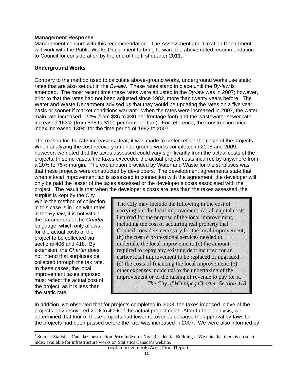#### **Management Response**

Management concurs with this recommendation. The Assessment and Taxation Department will work with the Public Works Department to bring forward the above noted recommendation to Council for consideration by the end of the first quarter 2011.

#### **Underground Works**

Contrary to the method used to calculate above-ground works, underground works use static rates that are also set out in the *By-law*. These rates stand in place until the *By-law* is amended. The most recent time these rates were adjusted in the *By-law* was in 2007; however, prior to that the rates had not been adjusted since 1982, more than twenty years before. The Water and Waste Department advised us that they would be updating the rates on a five year basis or sooner if market conditions warrant. When the rates were increased in 2007, the water main rate increased 122% (from \$36 to \$80 per frontage foot) and the wastewater sewer rate increased 163% (from \$38 to \$100 per frontage foot). For reference, the construction price index increased 130% for the time period of 1982 to 2007.<sup>1</sup>

The reason for the rate increase is clear; it was made to better reflect the costs of the projects. When analyzing the cost recovery on underground works completed in 2008 and 2009, however, we noted that the taxes assessed could vary significantly from the actual costs of the projects. In some cases, the taxes exceeded the actual project costs incurred by anywhere from a 20% to 75% margin. The explanation provided by Water and Waste for the surpluses was that these projects were constructed by developers. The development agreements state that when a local improvement tax is assessed in connection with the agreement, the developer will only be paid the lesser of the taxes assessed or the developer's costs associated with the project. The result is that when the developer's costs are less than the taxes assessed, the

surplus is kept by the City. While the method of collection in this case is in line with rates in the *By-law*, it is not within the parameters of the *Charter* language, which only allows for the actual costs of the project to be collected via sections 406 and 418. By extension, the *Charter* does not intend that surpluses be collected through the tax rate. In these cases, the local improvement taxes imposed must reflect the actual cost of the project, as it is less than the static rate.

 $\overline{a}$ 

The City may include the following in the cost of carrying out the local improvement: (a) all capital costs incurred for the purpose of the local improvement, including the cost of acquiring real property that Council considers necessary for the local improvement; (b) the cost of professional services needed to undertake the local improvement; (c) the amount required to repay any existing debt incurred for an earlier local improvement to be replaced or upgraded; (d) the costs of financing the local improvement; (e) other expenses incidental to the undertaking of the improvement or to the raising of revenue to pay for it. - *The City of Winnipeg Charter, Section 418* 

In addition, we observed that for projects completed in 2008, the taxes imposed in five of the projects only recovered 20% to 40% of the actual project costs. After further analysis, we determined that four of these projects had lower recoveries because the approval by-laws for the projects had been passed before the rate was increased in 2007. We were also informed by

<sup>&</sup>lt;sup>1</sup> Source: Statistics Canada Construction Price Index for Non-Residential Buildings. We note that there is no such index available for infrastructure works on Statistics Canada's website.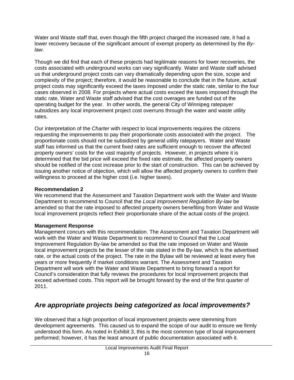Water and Waste staff that, even though the fifth project charged the increased rate, it had a lower recovery because of the significant amount of exempt property as determined by the *Bylaw*.

Though we did find that each of these projects had legitimate reasons for lower recoveries, the costs associated with underground works can vary significantly. Water and Waste staff advised us that underground project costs can vary dramatically depending upon the size, scope and complexity of the project; therefore, it would be reasonable to conclude that in the future, actual project costs may significantly exceed the taxes imposed under the static rate, similar to the four cases observed in 2008. For projects where actual costs exceed the taxes imposed through the static rate, Water and Waste staff advised that the cost overages are funded out of the operating budget for the year. In other words, the general City of Winnipeg ratepayer subsidizes any local improvement project cost overruns through the water and waste utility rates.

Our interpretation of the *Charter* with respect to local improvements requires the citizens requesting the improvements to pay their proportionate costs associated with the project. The proportionate costs should not be subsidized by general utility ratepayers. Water and Waste staff has informed us that the current fixed rates are sufficient enough to recover the affected property owners' costs for the vast majority of projects. However, in projects where it is determined that the bid price will exceed the fixed rate estimate, the affected property owners should be notified of the cost increase prior to the start of construction. This can be achieved by issuing another notice of objection, which will allow the affected property owners to confirm their willingness to proceed at the higher cost (i.e. higher taxes).

#### **Recommendation 2**

We recommend that the Assessment and Taxation Department work with the Water and Waste Department to recommend to Council that the *Local Improvement Regulation By-law* be amended so that the rate imposed to affected property owners benefiting from Water and Waste local improvement projects reflect their proportionate share of the actual costs of the project.

#### **Management Response**

Management concurs with this recommendation. The Assessment and Taxation Department will work with the Water and Waste Department to recommend to Council that the Local Improvement Regulation By-law be amended so that the rate imposed on Water and Waste local improvement projects be the lesser of the rate stated in the By-law, which is the advertised rate, or the actual costs of the project. The rate in the Bylaw will be reviewed at least every five years or more frequently if market conditions warrant. The Assessment and Taxation Department will work with the Water and Waste Department to bring forward a report for Council's consideration that fully reviews the procedures for local improvement projects that exceed advertised costs. This report will be brought forward by the end of the first quarter of 2011.

### *Are appropriate projects being categorized as local improvements?*

We observed that a high proportion of local improvement projects were stemming from development agreements. This caused us to expand the scope of our audit to ensure we firmly understood this form. As noted in Exhibit 3, this is the most common type of local improvement performed; however, it has the least amount of public documentation associated with it.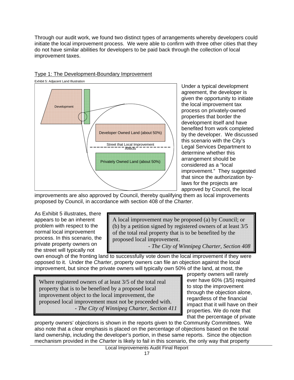Through our audit work, we found two distinct types of arrangements whereby developers could initiate the local improvement process. We were able to confirm with three other cities that they do not have similar abilities for developers to be paid back through the collection of local improvement taxes.



#### Type 1: The Development-Boundary Improvement

Under a typical development agreement, the developer is given the opportunity to initiate the local improvement tax process on privately-owned properties that border the development itself and have benefited from work completed by the developer. We discussed this scenario with the City's Legal Services Department to determine whether this arrangement should be considered as a "local improvement." They suggested that since the authorization bylaws for the projects are approved by Council, the local

improvements are also approved by Council, thereby qualifying them as local improvements proposed by Council, in accordance with section 408 of the *Charter*.

As Exhibit 5 illustrates, there appears to be an inherent problem with respect to the normal local improvement process. In this scenario, the private property owners on the street will typically not

A local improvement may be proposed (a) by Council; or (b) by a petition signed by registered owners of at least 3/5 of the total real property that is to be benefited by the proposed local improvement.

- *The City of Winnipeg Charter, Section 408* 

own enough of the fronting land to successfully vote down the local improvement if they were opposed to it. Under the *Charter*, property owners can file an objection against the local improvement, but since the private owners will typically own 50% of the land, at most, the

Where registered owners of at least 3/5 of the total real property that is to be benefited by a proposed local improvement object to the local improvement, the proposed local improvement must not be proceeded with. - *The City of Winnipeg Charter, Section 411*  property owners will rarely ever have 60% (3/5) required to stop the improvement through the objection alone, regardless of the financial impact that it will have on their properties. We do note that that the percentage of private

property owners' objections is shown in the reports given to the Community Committees. We also note that a clear emphasis is placed on the percentage of objections based on the total land ownership, including the developer's portion, in these same reports. Since the objection mechanism provided in the *Charter* is likely to fail in this scenario, the only way that property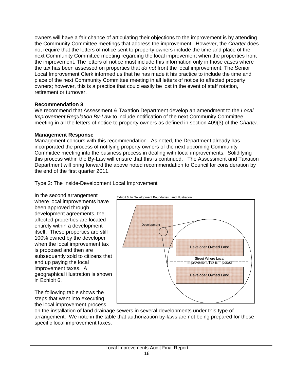owners will have a fair chance of articulating their objections to the improvement is by attending the Community Committee meetings that address the improvement. However, the *Charter* does not require that the letters of notice sent to property owners include the time and place of the next Community Committee meeting regarding the local improvement when the properties front the improvement. The letters of notice must include this information only in those cases where the tax has been assessed on properties that *do not* front the local improvement. The Senior Local Improvement Clerk informed us that he has made it his practice to include the time and place of the next Community Committee meeting in all letters of notice to affected property owners; however, this is a practice that could easily be lost in the event of staff rotation, retirement or turnover.

#### **Recommendation 3**

We recommend that Assessment & Taxation Department develop an amendment to the *Local Improvement Regulation By-Law* to include notification of the next Community Committee meeting in all the letters of notice to property owners as defined in section 409(3) of the *Charter*.

#### **Management Response**

Management concurs with this recommendation. As noted, the Department already has incorporated the process of notifying property owners of the next upcoming Community Committee meeting into the business process in dealing with local improvements. Solidifying this process within the By-Law will ensure that this is continued. The Assessment and Taxation Department will bring forward the above noted recommendation to Council for consideration by the end of the first quarter 2011.

#### Type 2: The Inside-Development Local Improvement

In the second arrangement where local improvements have been approved through development agreements, the affected properties are located entirely within a development itself. These properties are still 100% owned by the developer when the local improvement tax is proposed and then are subsequently sold to citizens that end up paying the local improvement taxes. A geographical illustration is shown in Exhibit 6.

The following table shows the steps that went into executing the local improvement process



on the installation of land drainage sewers in several developments under this type of arrangement. We note in the table that authorization by-laws are not being prepared for these specific local improvement taxes.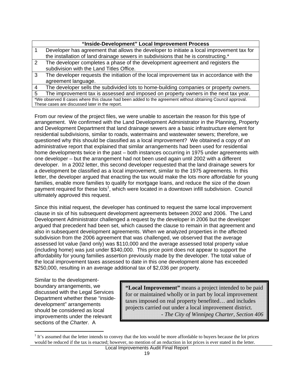| "Inside-Development" Local Improvement Process                                                             |                                                                                           |  |  |  |
|------------------------------------------------------------------------------------------------------------|-------------------------------------------------------------------------------------------|--|--|--|
| 1                                                                                                          | Developer has agreement that allows the developer to initiate a local improvement tax for |  |  |  |
|                                                                                                            | the installation of land drainage sewers in subdivisions that he is constructing.*        |  |  |  |
| 2                                                                                                          | The developer completes a phase of the development agreement and registers the            |  |  |  |
|                                                                                                            | subdivision with the Land Titles Office.                                                  |  |  |  |
| 3                                                                                                          | The developer requests the initiation of the local improvement tax in accordance with the |  |  |  |
|                                                                                                            | agreement language.                                                                       |  |  |  |
| $\overline{4}$                                                                                             | The developer sells the subdivided lots to home-building companies or property owners.    |  |  |  |
| 5                                                                                                          | The improvement tax is assessed and imposed on property owners in the next tax year.      |  |  |  |
| *We observed 8 cases where this clause had been added to the agreement without obtaining Council approval. |                                                                                           |  |  |  |
| These cases are discussed later in the report.                                                             |                                                                                           |  |  |  |

From our review of the project files, we were unable to ascertain the reason for this type of arrangement. We confirmed with the Land Development Administrator in the Planning, Property and Development Department that land drainage sewers are a basic infrastructure element for residential subdivisions, similar to roads, watermains and wastewater sewers; therefore, we questioned why this should be classified as a local improvement? We obtained a copy of an administrative report that explained that similar arrangements had been used for residential home developments twice in the past – both instances occurring in 1975 under agreements with one developer – but the arrangement had not been used again until 2002 with a different developer. In a 2002 letter, this second developer requested that the land drainage sewers for a development be classified as a local improvement, similar to the 1975 agreements. In this letter, the developer argued that enacting the tax would make the lots more affordable for young families, enable more families to qualify for mortgage loans, and reduce the size of the down payment required for these lots<sup>1</sup>, which were located in a downtown infill subdivision. Council ultimately approved this request.

Since this initial request, the developer has continued to request the same local improvement clause in six of his subsequent development agreements between 2002 and 2006. The Land Development Administrator challenged a request by the developer in 2006 but the developer argued that precedent had been set, which caused the clause to remain in that agreement and also in subsequent development agreements. When we analyzed properties in the affected subdivision from the 2006 agreement that was challenged, we observed that the average assessed lot value (land only) was \$110,000 and the average assessed total property value (including home) was just under \$340,000. This price point does not appear to support the affordability for young families assertion previously made by the developer. The total value of the local improvement taxes assessed to date in this one development alone has exceeded \$250,000, resulting in an average additional tax of \$2,036 per property.

Similar to the developmentboundary arrangements, we discussed with the Legal Services Department whether these "insidedevelopment" arrangements should be considered as local improvements under the relevant sections of the *Charter*. A

 $\overline{a}$ 

**"Local Improvement"** means a project intended to be paid for or maintained wholly or in part by local improvement taxes imposed on real property benefited… and includes projects carried out under a local improvement district. - *The City of Winnipeg Charter, Section 406* 

 $<sup>1</sup>$  It's assumed that the letter intends to convey that the lots would be more affordable to buyers because the lot prices</sup> would be reduced if the tax is enacted; however, no mention of an reduction in lot prices is ever stated in the letter.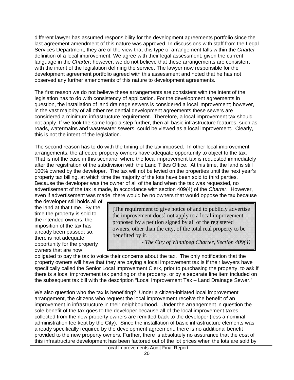different lawyer has assumed responsibility for the development agreements portfolio since the last agreement amendment of this nature was approved. In discussions with staff from the Legal Services Department, they are of the view that this type of arrangement falls within the *Charter*  definition of a local improvement. We agree with their legal assessment, given the current language in the *Charter*; however, we do not believe that these arrangements are consistent with the intent of the legislation defining the service. The lawyer now responsible for the development agreement portfolio agreed with this assessment and noted that he has not observed any further amendments of this nature to development agreements.

The first reason we do not believe these arrangements are consistent with the intent of the legislation has to do with consistency of application. For the development agreements in question, the installation of land drainage sewers is considered a local improvement; however, in the vast majority of all other residential development agreements these sewers are considered a minimum infrastructure requirement. Therefore, a local improvement tax should not apply. If we took the same logic a step further, then all basic infrastructure features, such as roads, watermains and wastewater sewers, could be viewed as a local improvement. Clearly, this is not the intent of the legislation.

The second reason has to do with the timing of the tax imposed. In other local improvement arrangements, the affected property owners have adequate opportunity to object to the tax. That is not the case in this scenario, where the local improvement tax is requested immediately after the registration of the subdivision with the Land Titles Office. At this time, the land is still 100% owned by the developer. The tax will not be levied on the properties until the next year's property tax billing, at which time the majority of the lots have been sold to third parties. Because the developer was the owner of all of the land when the tax was requested, no advertisement of the tax is made, in accordance with section 409(4) of the *Charter*. However, even if advertisement was made, there would be no owners that would oppose the tax because

the developer still holds all of the land at that time. By the time the property is sold to the intended owners, the imposition of the tax has already been passed; so, there is not adequate opportunity for the property owners that are now

[The requirement to give notice of and to publicly advertise the improvement does] not apply to a local improvement proposed by a petition signed by all of the registered owners, other than the city, of the total real property to be benefited by it.

- *The City of Winnipeg Charter, Section 409(4)* 

obligated to pay the tax to voice their concerns about the tax. The only notification that the property owners will have that they are paying a local improvement tax is if their lawyers have specifically called the Senior Local Improvement Clerk, prior to purchasing the property, to ask if there is a local improvement tax pending on the property, or by a separate line item included on the subsequent tax bill with the description "Local Improvement Tax – Land Drainage Sewer."

We also question who the tax is benefiting? Under a citizen-initiated local improvement arrangement, the citizens who request the local improvement receive the benefit of an improvement in infrastructure in their neighbourhood. Under the arrangement in question the sole benefit of the tax goes to the developer because all of the local improvement taxes collected from the new property owners are remitted back to the developer (less a nominal administration fee kept by the City). Since the installation of basic infrastructure elements was already specifically required by the development agreement, there is no additional benefit provided to the new property owners. Further, there is absolutely no assurance that the cost of this infrastructure development has been factored out of the lot prices when the lots are sold by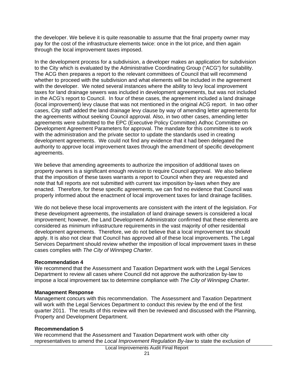the developer. We believe it is quite reasonable to assume that the final property owner may pay for the cost of the infrastructure elements twice: once in the lot price, and then again through the local improvement taxes imposed.

In the development process for a subdivision, a developer makes an application for subdivision to the City which is evaluated by the Administrative Coordinating Group ("ACG") for suitability. The ACG then prepares a report to the relevant committees of Council that will recommend whether to proceed with the subdivision and what elements will be included in the agreement with the developer. We noted several instances where the ability to levy local improvement taxes for land drainage sewers was included in development agreements, but was not included in the ACG's report to Council. In four of these cases, the agreement included a land drainage (local improvement) levy clause that was not mentioned in the original ACG report. In two other cases, City staff added the land drainage levy clause by way of amending letter agreements for the agreements without seeking Council approval. Also, in two other cases, amending letter agreements were submitted to the EPC (Executive Policy Committee) Adhoc Committee on Development Agreement Parameters for approval. The mandate for this committee is to work with the administration and the private sector to update the standards used in creating development agreements. We could not find any evidence that it had been delegated the authority to approve local improvement taxes through the amendment of specific development agreements.

We believe that amending agreements to authorize the imposition of additional taxes on property owners is a significant enough revision to require Council approval. We also believe that the imposition of these taxes warrants a report to Council when they are requested and note that full reports are not submitted with current tax imposition by-laws when they are enacted. Therefore, for these specific agreements, we can find no evidence that Council was properly informed about the enactment of local improvement taxes for land drainage facilities.

We do not believe these local improvements are consistent with the intent of the legislation. For these development agreements, the installation of land drainage sewers is considered a local improvement; however, the Land Development Administrator confirmed that these elements are considered as minimum infrastructure requirements in the vast majority of other residential development agreements. Therefore, we do not believe that a local improvement tax should apply. It is also not clear that Council has approved all of these local improvements. The Legal Services Department should review whether the imposition of local improvement taxes in these cases complies with *The City of Winnipeg Charter*.

#### **Recommendation 4**

We recommend that the Assessment and Taxation Department work with the Legal Services Department to review all cases where Council did not approve the authorization by-law to impose a local improvement tax to determine compliance with *The City of Winnipeg Charter*.

#### **Management Response**

Management concurs with this recommendation. The Assessment and Taxation Department will work with the Legal Services Department to conduct this review by the end of the first quarter 2011. The results of this review will then be reviewed and discussed with the Planning, Property and Development Department.

#### **Recommendation 5**

We recommend that the Assessment and Taxation Department work with other city representatives to amend the *Local Improvement Regulation By-law* to state the exclusion of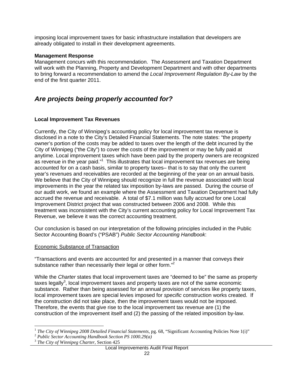imposing local improvement taxes for basic infrastructure installation that developers are already obligated to install in their development agreements.

#### **Management Response**

Management concurs with this recommendation. The Assessment and Taxation Department will work with the Planning, Property and Development Department and with other departments to bring forward a recommendation to amend the *Local Improvement Regulation By-Law* by the end of the first quarter 2011.

### *Are projects being properly accounted for?*

#### **Local Improvement Tax Revenues**

Currently, the City of Winnipeg's accounting policy for local improvement tax revenue is disclosed in a note to the City's Detailed Financial Statements. The note states: "the property owner's portion of the costs may be added to taxes over the length of the debt incurred by the City of Winnipeg ("the City") to cover the costs of the improvement or may be fully paid at anytime. Local improvement taxes which have been paid by the property owners are recognized as revenue in the year paid."<sup>1</sup> This illustrates that local improvement tax revenues are being accounted for on a cash basis, similar to property taxes– that is to say that only the current year's revenues and receivables are recorded at the beginning of the year on an annual basis. We believe that the City of Winnipeg should recognize in full the revenue associated with local improvements in the year the related tax imposition by-laws are passed. During the course of our audit work, we found an example where the Assessment and Taxation Department had fully accrued the revenue and receivable. A total of \$7.1 million was fully accrued for one Local Improvement District project that was constructed between 2006 and 2008. While this treatment was inconsistent with the City's current accounting policy for Local Improvement Tax Revenue, we believe it was the correct accounting treatment.

Our conclusion is based on our interpretation of the following principles included in the Public Sector Accounting Board's ("PSAB") *Public Sector Accounting Handbook*:

#### Economic Substance of Transaction

"Transactions and events are accounted for and presented in a manner that conveys their substance rather than necessarily their legal or other form."<sup>2</sup>

While the *Charter* states that local improvement taxes are "deemed to be" the same as property taxes legally<sup>3</sup>, local improvement taxes and property taxes are not of the same economic substance. Rather than being assessed for an annual provision of services like property taxes, local improvement taxes are special levies imposed for *specific* construction works created. If the construction did not take place, then the improvement taxes would not be imposed. Therefore, the events that give rise to the local improvement tax revenue are (1) the construction of the improvement itself and (2) the passing of the related imposition by-law.

 $\overline{a}$ <sup>1</sup> *The City of Winnipeg 2008 Detailed Financial Statements*, pg. 68, "Significant Accounting Policies Note 1(i)" <sup>2</sup> *Public Sector Accounting Handbook Section PS 1000.29(a)* 

<sup>&</sup>lt;sup>2</sup> Public Sector Accounting Handbook Section PS 1000.29(a)<br><sup>3</sup> The City of Winnipeg Charter, Section 425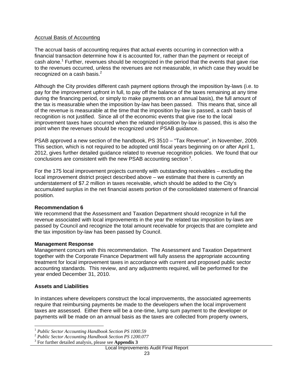#### Accrual Basis of Accounting

The accrual basis of accounting requires that actual events occurring in connection with a financial transaction determine how it is accounted for, rather than the payment or receipt of cash alone.<sup>1</sup> Further, revenues should be recognized in the period that the events that gave rise to the revenues occurred, unless the revenues are not measurable, in which case they would be recognized on a cash basis. $^2$ 

Although the City provides different cash payment options through the imposition by-laws (i.e. to pay for the improvement upfront in full, to pay off the balance of the taxes remaining at any time during the financing period, or simply to make payments on an annual basis), the full amount of the tax is measurable when the imposition by-law has been passed. This means that, since all of the revenue is measurable at the time that the imposition by-law is passed, a cash basis of recognition is not justified. Since all of the economic events that give rise to the local improvement taxes have occurred when the related imposition by-law is passed, this is also the point when the revenues should be recognized under PSAB guidance.

PSAB approved a new section of the handbook, PS 3510 – "Tax Revenue", in November, 2009. This section, which is not required to be adopted until fiscal years beginning on or after April 1, 2012, gives further detailed guidance related to revenue recognition policies. We found that our conclusions are consistent with the new PSAB accounting section<sup>3</sup>.

For the 175 local improvement projects currently with outstanding receivables – excluding the local improvement district project described above – we estimate that there is currently an understatement of \$7.2 million in taxes receivable, which should be added to the City's accumulated surplus in the net financial assets portion of the consolidated statement of financial position.

#### **Recommendation 6**

We recommend that the Assessment and Taxation Department should recognize in full the revenue associated with local improvements in the year the related tax imposition by-laws are passed by Council and recognize the total amount receivable for projects that are complete and the tax imposition by-law has been passed by Council.

#### **Management Response**

Management concurs with this recommendation. The Assessment and Taxation Department together with the Corporate Finance Department will fully assess the appropriate accounting treatment for local improvement taxes in accordance with current and proposed public sector accounting standards. This review, and any adjustments required, will be performed for the year ended December 31, 2010.

#### **Assets and Liabilities**

 $\overline{a}$ 

In instances where developers construct the local improvements, the associated agreements require that reimbursing payments be made to the developers when the local improvement taxes are assessed. Either there will be a one-time, lump sum payment to the developer or payments will be made on an annual basis as the taxes are collected from property owners,

<sup>1</sup> *Public Sector Accounting Handbook Section PS 1000.59*

<sup>2</sup> *Public Sector Accounting Handbook Section PS 1200.077*

<sup>3</sup> For further detailed analysis, please see **Appendix 3**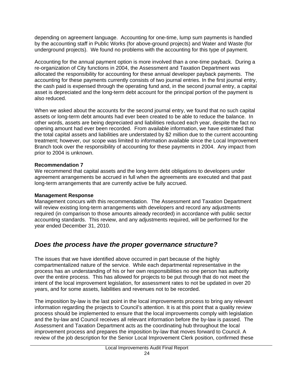depending on agreement language. Accounting for one-time, lump sum payments is handled by the accounting staff in Public Works (for above-ground projects) and Water and Waste (for underground projects). We found no problems with the accounting for this type of payment.

Accounting for the annual payment option is more involved than a one-time payback. During a re-organization of City functions in 2004, the Assessment and Taxation Department was allocated the responsibility for accounting for these annual developer payback payments. The accounting for these payments currently consists of two journal entries. In the first journal entry, the cash paid is expensed through the operating fund and, in the second journal entry, a capital asset is depreciated and the long-term debt account for the principal portion of the payment is also reduced.

When we asked about the accounts for the second journal entry, we found that no such capital assets or long-term debt amounts had ever been created to be able to reduce the balance. In other words, assets are being depreciated and liabilities reduced each year, despite the fact no opening amount had ever been recorded. From available information, we have estimated that the total capital assets and liabilities are understated by \$2 million due to the current accounting treatment; however, our scope was limited to information available since the Local Improvement Branch took over the responsibility of accounting for these payments in 2004. Any impact from prior to 2004 is unknown.

#### **Recommendation 7**

We recommend that capital assets and the long-term debt obligations to developers under agreement arrangements be accrued in full when the agreements are executed and that past long-term arrangements that are currently active be fully accrued.

#### **Management Response**

Management concurs with this recommendation. The Assessment and Taxation Department will review existing long-term arrangements with developers and record any adjustments required (in comparison to those amounts already recorded) in accordance with public sector accounting standards. This review, and any adjustments required, will be performed for the year ended December 31, 2010.

### *Does the process have the proper governance structure?*

The issues that we have identified above occurred in part because of the highly compartmentalized nature of the service. While each departmental representative in the process has an understanding of his or her own responsibilities no one person has authority over the entire process. This has allowed for projects to be put through that do not meet the intent of the local improvement legislation, for assessment rates to not be updated in over 20 years, and for some assets, liabilities and revenues not to be recorded.

The imposition by-law is the last point in the local improvements process to bring any relevant information regarding the projects to Council's attention. It is at this point that a quality review process should be implemented to ensure that the local improvements comply with legislation and the by-law and Council receives all relevant information before the by-law is passed. The Assessment and Taxation Department acts as the coordinating hub throughout the local improvement process and prepares the imposition by-law that moves forward to Council. A review of the job description for the Senior Local Improvement Clerk position, confirmed these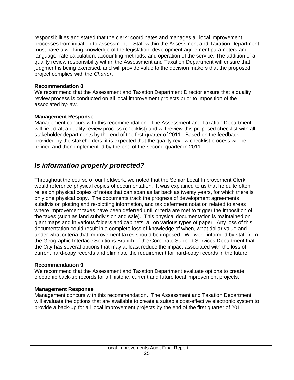responsibilities and stated that the clerk "coordinates and manages all local improvement processes from initiation to assessment." Staff within the Assessment and Taxation Department must have a working knowledge of the legislation, development agreement parameters and language, rate calculation, accounting methods, and operation of the service. The addition of a quality review responsibility within the Assessment and Taxation Department will ensure that judgment is being exercised, and will provide value to the decision makers that the proposed project complies with the *Charter*.

#### **Recommendation 8**

We recommend that the Assessment and Taxation Department Director ensure that a quality review process is conducted on all local improvement projects prior to imposition of the associated by-law.

#### **Management Response**

Management concurs with this recommendation. The Assessment and Taxation Department will first draft a quality review process (checklist) and will review this proposed checklist with all stakeholder departments by the end of the first quarter of 2011. Based on the feedback provided by the stakeholders, it is expected that the quality review checklist process will be refined and then implemented by the end of the second quarter in 2011.

### *Is information properly protected?*

Throughout the course of our fieldwork, we noted that the Senior Local Improvement Clerk would reference physical copies of documentation. It was explained to us that he quite often relies on physical copies of notes that can span as far back as twenty years, for which there is only one physical copy. The documents track the progress of development agreements, subdivision plotting and re-plotting information, and tax deferment notation related to areas where improvement taxes have been deferred until criteria are met to trigger the imposition of the taxes (such as land subdivision and sale). This physical documentation is maintained on giant maps and in various folders and cabinets, all on various types of paper. Any loss of this documentation could result in a complete loss of knowledge of when, what dollar value and under what criteria that improvement taxes should be imposed. We were informed by staff from the Geographic Interface Solutions Branch of the Corporate Support Services Department that the City has several options that may at least reduce the impact associated with the loss of current hard-copy records and eliminate the requirement for hard-copy records in the future.

#### **Recommendation 9**

We recommend that the Assessment and Taxation Department evaluate options to create electronic back-up records for all historic, current and future local improvement projects.

#### **Management Response**

Management concurs with this recommendation. The Assessment and Taxation Department will evaluate the options that are available to create a suitable cost-effective electronic system to provide a back-up for all local improvement projects by the end of the first quarter of 2011.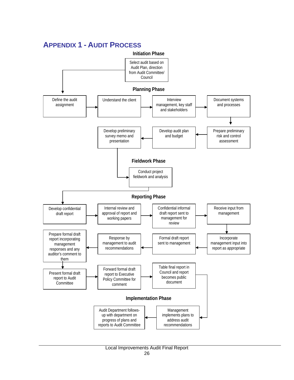

### **APPENDIX 1 - AUDIT PROCESS**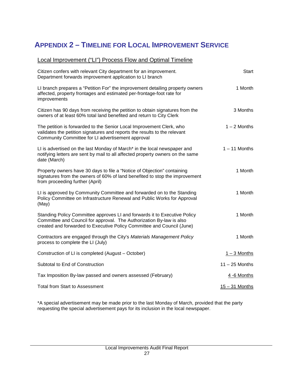# **APPENDIX 2 – TIMELINE FOR LOCAL IMPROVEMENT SERVICE**

| Local Improvement ("LI") Process Flow and Optimal Timeline                                                                                                                                                                  |                  |
|-----------------------------------------------------------------------------------------------------------------------------------------------------------------------------------------------------------------------------|------------------|
| Citizen confers with relevant City department for an improvement.<br>Department forwards improvement application to LI branch                                                                                               | Start            |
| LI branch prepares a "Petition For" the improvement detailing property owners<br>affected, property frontages and estimated per-frontage-foot rate for<br>improvements                                                      | 1 Month          |
| Citizen has 90 days from receiving the petition to obtain signatures from the<br>owners of at least 60% total land benefited and return to City Clerk                                                                       | 3 Months         |
| The petition is forwarded to the Senior Local Improvement Clerk, who<br>validates the petition signatures and reports the results to the relevant<br>Community Committee for LI advertisement approval                      | $1 - 2$ Months   |
| LI is advertised on the last Monday of March* in the local newspaper and<br>notifying letters are sent by mail to all affected property owners on the same<br>date (March)                                                  | $1 - 11$ Months  |
| Property owners have 30 days to file a "Notice of Objection" containing<br>signatures from the owners of 60% of land benefited to stop the improvement<br>from proceeding further (April)                                   | 1 Month          |
| LI is approved by Community Committee and forwarded on to the Standing<br>Policy Committee on Infrastructure Renewal and Public Works for Approval<br>(May)                                                                 | 1 Month          |
| Standing Policy Committee approves LI and forwards it to Executive Policy<br>Committee and Council for approval. The Authorization By-law is also<br>created and forwarded to Executive Policy Committee and Council (June) | 1 Month          |
| Contractors are engaged through the City's Materials Management Policy<br>process to complete the LI (July)                                                                                                                 | 1 Month          |
| Construction of LI is completed (August – October)                                                                                                                                                                          | $1 - 3$ Months   |
| Subtotal to End of Construction                                                                                                                                                                                             | $11 - 25$ Months |
| Tax Imposition By-law passed and owners assessed (February)                                                                                                                                                                 | 4 -6 Months      |
| <b>Total from Start to Assessment</b>                                                                                                                                                                                       | 15 - 31 Months   |

\*A special advertisement may be made prior to the last Monday of March, provided that the party requesting the special advertisement pays for its inclusion in the local newspaper.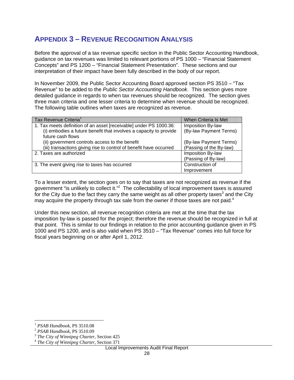### **APPENDIX 3 – REVENUE RECOGNITION ANALYSIS**

Before the approval of a tax revenue specific section in the Public Sector Accounting Handbook, guidance on tax revenues was limited to relevant portions of PS 1000 – "Financial Statement Concepts" and PS 1200 – "Financial Statement Presentation". These sections and our interpretation of their impact have been fully described in the body of our report.

In November 2009, the Public Sector Accounting Board approved section PS 3510 – "Tax Revenue" to be added to the *Public Sector Accounting Handbook*. This section gives more detailed guidance in regards to when tax revenues should be recognized. The section gives three main criteria and one lesser criteria to determine when revenue should be recognized. The following table outlines when taxes are recognized as revenue.

| Tax Revenue Criteria <sup>1</sup>                                  | When Criteria Is Met    |
|--------------------------------------------------------------------|-------------------------|
| 1. Tax meets definition of an asset [receivable] under PS 1000.36: | Imposition By-law       |
| (i) embodies a future benefit that involves a capacity to provide  | (By-law Payment Terms)  |
| future cash flows                                                  |                         |
| (ii) government controls access to the benefit                     | (By-law Payment Terms)  |
| (iii) transactions giving rise to control of benefit have occurred | (Passing of the By-law) |
| 2. Taxes are authorized                                            | Imposition By-law       |
|                                                                    | (Passing of By-law)     |
| 3. The event giving rise to taxes has occurred                     | Construction of         |
|                                                                    | Improvement             |

To a lesser extent, the section goes on to say that taxes are not recognized as revenue if the government "is unlikely to collect it."<sup>2</sup> The collectability of local improvement taxes is assured for the City due to the fact they carry the same weight as all other property taxes<sup>3</sup> and the City may acquire the property through tax sale from the owner if those taxes are not paid.<sup>4</sup>

Under this new section, all revenue recognition criteria are met at the time that the tax imposition by-law is passed for the project; therefore the revenue should be recognized in full at that point. This is similar to our findings in relation to the prior accounting guidance given in PS 1000 and PS 1200, and is also valid when PS 3510 – "Tax Revenue" comes into full force for fiscal years beginning on or after April 1, 2012.

 $\overline{a}$ 

<sup>&</sup>lt;sup>1</sup> *PSAB Handbook, PS 3510.08*<br><sup>2</sup> *PSAB Handbook, PS 3510.09*<br><sup>3</sup> *The City of Winnipeg Charter, Section 425*<br><sup>4</sup> *The City of Winnipeg Charter, Section 371*